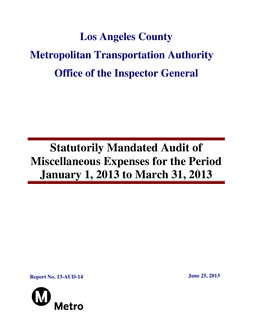# **Los Angeles County Metropolitan Transportation Authority Office of the Inspector General**

## **Statutorily Mandated Audit of Miscellaneous Expenses for the Period January 1, 2013 to March 31, 2013**

**Report No. 13-AUD-14** June 25, 2013

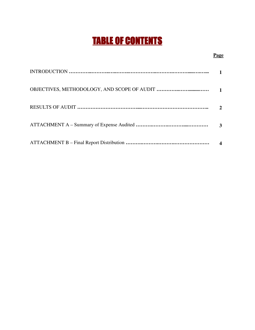## TABLE OF CONTENTS

#### **Page**

| $\boldsymbol{\mathcal{D}}$ |
|----------------------------|
| 3                          |
|                            |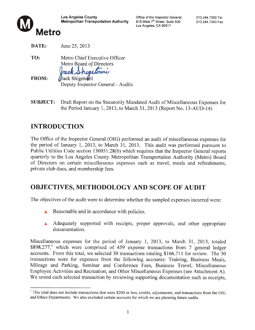

Office of the Inspector General 818 West 7<sup>th</sup> Street, Suite 500 Los Angeles, CA 90017



DATE: June 25, 2013 TO: Metro Chief Executive Officer

Metro Board of Directors

Jack Shepetomi

| <b>FROM:</b> | Jack Shigetoni                    |
|--------------|-----------------------------------|
|              | Deputy Inspector General - Audits |

**SUBJECT:** Draft Report on the Statutorily Mandated Audit of Miscellaneous Expenses for the Period January 1, 2013, to March 31, 2013 (Report No. 13-AUD-14)

## **INTRODUCTION**

The Office of the Inspector General (OIG) performed an audit of miscellaneous expenses for the period of January 1, 2013, to March 31, 2013. This audit was performed pursuant to Public Utilities Code section 130051.28(b) which requires that the Inspector General reports quarterly to the Los Angeles County Metropolitan Transportation Authority (Metro) Board of Directors on certain miscellaneous expenses such as travel, meals and refreshments, private club dues, and membership fees.

## OBJECTIVES, METHODOLOGY AND SCOPE OF AUDIT

The objectives of the audit were to determine whether the sampled expenses incurred were:

- Reasonable and in accordance with policies.
- Adequately supported with receipts, proper approvals, and other appropriate documentation.

Miscellaneous expenses for the period of January 1, 2013, to March 31, 2013, totaled  $$898,277$ , which were comprised of 459 expense transactions from 7 general ledger accounts. From this total, we selected 30 transactions totaling \$166,711 for review. The 30 transactions were for expenses from the following accounts: Training, Business Meals, Mileage and Parking, Seminar and Conference Fees, Business Travel, Miscellaneous Employee Activities and Recreation, and Other Miscellaneous Expenses (see Attachment A). We tested each selected transaction by reviewing supporting documentation such as receipts,

 $1$  This total does not include transactions that were \$200 or less, credits, adjustments, and transactions from the OIG and Ethics Departments. We also excluded certain accounts for which we are planning future audits.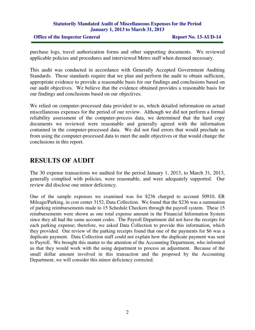#### **Statutorily Mandated Audit of Miscellaneous Expenses for the Period January 1, 2013 to March 31, 2013**

#### **Office of the Inspector General Report No. 13-AUD-14**

purchase logs, travel authorization forms and other supporting documents. We reviewed applicable policies and procedures and interviewed Metro staff when deemed necessary.

This audit was conducted in accordance with Generally Accepted Government Auditing Standards. Those standards require that we plan and perform the audit to obtain sufficient, appropriate evidence to provide a reasonable basis for our findings and conclusions based on our audit objectives. We believe that the evidence obtained provides a reasonable basis for our findings and conclusions based on our objectives.

We relied on computer-processed data provided to us, which detailed information on actual miscellaneous expenses for the period of our review. Although we did not perform a formal reliability assessment of the computer-process data, we determined that the hard copy documents we reviewed were reasonable and generally agreed with the information contained in the computer-processed data. We did not find errors that would preclude us from using the computer-processed data to meet the audit objectives or that would change the conclusions in this report.

### **RESULTS OF AUDIT**

The 30 expense transactions we audited for the period January 1, 2013, to March 31, 2013, generally complied with policies, were reasonable, and were adequately supported. Our review did disclose one minor deficiency.

One of the sample expenses we examined was for \$236 charged to account 50910, ER Mileage/Parking, in cost center 3152, Data Collection. We found that the \$236 was a summation of parking reimbursements made to 15 Schedule Checkers through the payroll system. These 15 reimbursements were shown as one total expense amount in the Financial Information System since they all had the same account codes. The Payroll Department did not have the receipts for each parking expense; therefore, we asked Data Collection to provide this information, which they provided. Our review of the parking receipts found that one of the payments for \$6 was a duplicate payment. Data Collection staff could not explain how the duplicate payment was sent to Payroll. We brought this matter to the attention of the Accounting Department, who informed us that they would work with the using department to process an adjustment. Because of the small dollar amount involved in this transaction and the proposed by the Accounting Department, we will consider this minor deficiency corrected.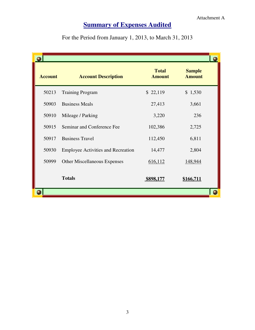### **<u>Summary of Expenses Audited</u>**

For the Period from January 1, 2013, to March 31, 2013

| <b>Account</b> | <b>Account Description</b>                | <b>Total</b><br><b>Amount</b> | <b>Sample</b><br><b>Amount</b> |  |
|----------------|-------------------------------------------|-------------------------------|--------------------------------|--|
| 50213          | <b>Training Program</b>                   | \$22,119                      | \$1,530                        |  |
| 50903          | <b>Business Meals</b>                     | 27,413                        | 3,661                          |  |
| 50910          | Mileage / Parking                         | 3,220                         | 236                            |  |
| 50915          | Seminar and Conference Fee                | 102,386                       | 2,725                          |  |
| 50917          | <b>Business Travel</b>                    | 112,450                       | 6,811                          |  |
| 50930          | <b>Employee Activities and Recreation</b> | 14,477                        | 2,804                          |  |
| 50999          | <b>Other Miscellaneous Expenses</b>       | 616,112                       | 148,944                        |  |
|                | <b>Totals</b>                             | \$898,177                     | \$166,711                      |  |
|                |                                           |                               |                                |  |